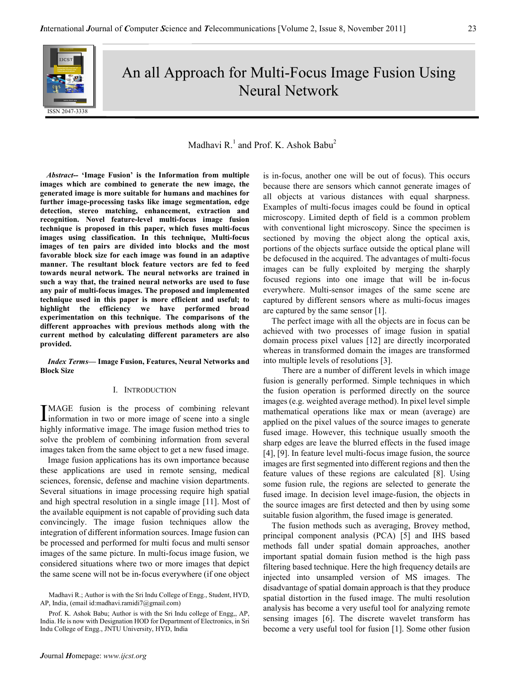

# An all Approach for Multi-Focus Image Fusion Using Neural Network

# Madhavi R $^{1}$  and Prof. K. Ashok Babu<sup>2</sup>

 Abstract-- 'Image Fusion' is the Information from multiple images which are combined to generate the new image, the generated image is more suitable for humans and machines for further image-processing tasks like image segmentation, edge detection, stereo matching, enhancement, extraction and recognition. Novel feature-level multi-focus image fusion technique is proposed in this paper, which fuses multi-focus images using classification. In this technique, Multi-focus images of ten pairs are divided into blocks and the most favorable block size for each image was found in an adaptive manner. The resultant block feature vectors are fed to feed towards neural network. The neural networks are trained in such a way that, the trained neural networks are used to fuse any pair of multi-focus images. The proposed and implemented technique used in this paper is more efficient and useful; to highlight the efficiency we have performed broad experimentation on this technique. The comparisons of the different approaches with previous methods along with the current method by calculating different parameters are also provided.

Index Terms— Image Fusion, Features, Neural Networks and Block Size

#### I. INTRODUCTION

MAGE fusion is the process of combining relevant IMAGE fusion is the process of combining relevant<br>information in two or more image of scene into a single highly informative image. The image fusion method tries to solve the problem of combining information from several images taken from the same object to get a new fused image.

Image fusion applications has its own importance because these applications are used in remote sensing, medical sciences, forensic, defense and machine vision departments. Several situations in image processing require high spatial and high spectral resolution in a single image [11]. Most of the available equipment is not capable of providing such data convincingly. The image fusion techniques allow the integration of different information sources. Image fusion can be processed and performed for multi focus and multi sensor images of the same picture. In multi-focus image fusion, we considered situations where two or more images that depict the same scene will not be in-focus everywhere (if one object

is in-focus, another one will be out of focus). This occurs because there are sensors which cannot generate images of all objects at various distances with equal sharpness. Examples of multi-focus images could be found in optical microscopy. Limited depth of field is a common problem with conventional light microscopy. Since the specimen is sectioned by moving the object along the optical axis, portions of the objects surface outside the optical plane will be defocused in the acquired. The advantages of multi-focus images can be fully exploited by merging the sharply focused regions into one image that will be in-focus everywhere. Multi-sensor images of the same scene are captured by different sensors where as multi-focus images are captured by the same sensor [1].

 The perfect image with all the objects are in focus can be achieved with two processes of image fusion in spatial domain process pixel values [12] are directly incorporated whereas in transformed domain the images are transformed into multiple levels of resolutions [3].

 There are a number of different levels in which image fusion is generally performed. Simple techniques in which the fusion operation is performed directly on the source images (e.g. weighted average method). In pixel level simple mathematical operations like max or mean (average) are applied on the pixel values of the source images to generate fused image. However, this technique usually smooth the sharp edges are leave the blurred effects in the fused image [4], [9]. In feature level multi-focus image fusion, the source images are first segmented into different regions and then the feature values of these regions are calculated [8]. Using some fusion rule, the regions are selected to generate the fused image. In decision level image-fusion, the objects in the source images are first detected and then by using some suitable fusion algorithm, the fused image is generated.

The fusion methods such as averaging, Brovey method, principal component analysis (PCA) [5] and IHS based methods fall under spatial domain approaches, another important spatial domain fusion method is the high pass filtering based technique. Here the high frequency details are injected into unsampled version of MS images. The disadvantage of spatial domain approach is that they produce spatial distortion in the fused image. The multi resolution analysis has become a very useful tool for analyzing remote sensing images [6]. The discrete wavelet transform has become a very useful tool for fusion [1]. Some other fusion

Madhavi R.; Author is with the Sri Indu College of Engg., Student, HYD, AP, India, (email id:madhavi.ramidi7@gmail.com)

Prof. K. Ashok Babu; Author is with the Sri Indu college of Engg,, AP, India. He is now with Designation HOD for Department of Electronics, in Sri Indu College of Engg., JNTU University, HYD, India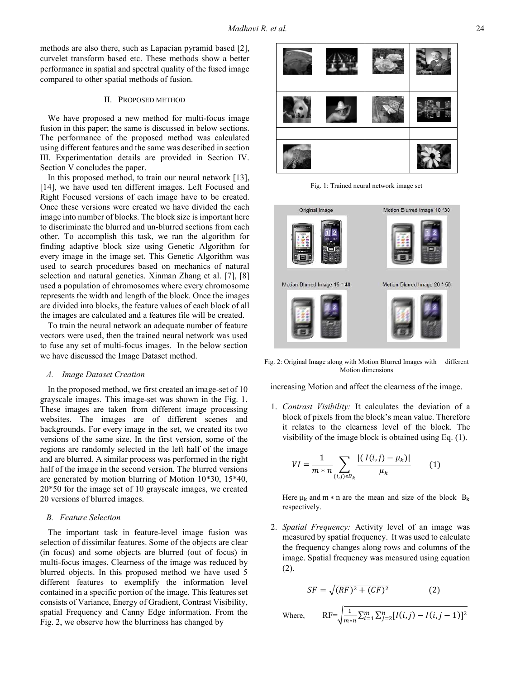methods are also there, such as Lapacian pyramid based [2], curvelet transform based etc. These methods show a better performance in spatial and spectral quality of the fused image compared to other spatial methods of fusion.

#### II. PROPOSED METHOD

We have proposed a new method for multi-focus image fusion in this paper; the same is discussed in below sections. The performance of the proposed method was calculated using different features and the same was described in section III. Experimentation details are provided in Section IV. Section V concludes the paper.

In this proposed method, to train our neural network [13], [14], we have used ten different images. Left Focused and Right Focused versions of each image have to be created. Once these versions were created we have divided the each image into number of blocks. The block size is important here to discriminate the blurred and un-blurred sections from each other. To accomplish this task, we ran the algorithm for finding adaptive block size using Genetic Algorithm for every image in the image set. This Genetic Algorithm was used to search procedures based on mechanics of natural selection and natural genetics. Xinman Zhang et al. [7], [8] used a population of chromosomes where every chromosome represents the width and length of the block. Once the images are divided into blocks, the feature values of each block of all the images are calculated and a features file will be created.

To train the neural network an adequate number of feature vectors were used, then the trained neural network was used to fuse any set of multi-focus images. In the below section we have discussed the Image Dataset method.

#### A. Image Dataset Creation

In the proposed method, we first created an image-set of 10 grayscale images. This image-set was shown in the Fig. 1. These images are taken from different image processing websites. The images are of different scenes and backgrounds. For every image in the set, we created its two versions of the same size. In the first version, some of the regions are randomly selected in the left half of the image and are blurred. A similar process was performed in the right half of the image in the second version. The blurred versions are generated by motion blurring of Motion 10\*30, 15\*40, 20\*50 for the image set of 10 grayscale images, we created 20 versions of blurred images.

#### B. Feature Selection

The important task in feature-level image fusion was selection of dissimilar features. Some of the objects are clear (in focus) and some objects are blurred (out of focus) in multi-focus images. Clearness of the image was reduced by blurred objects. In this proposed method we have used 5 different features to exemplify the information level contained in a specific portion of the image. This features set consists of Variance, Energy of Gradient, Contrast Visibility, spatial Frequency and Canny Edge information. From the Fig. 2, we observe how the blurriness has changed by



Fig. 1: Trained neural network image set



Fig. 2: Original Image along with Motion Blurred Images with different Motion dimensions

increasing Motion and affect the clearness of the image.

1. Contrast Visibility: It calculates the deviation of a block of pixels from the block's mean value. Therefore it relates to the clearness level of the block. The visibility of the image block is obtained using Eq. (1).

$$
VI = \frac{1}{m*n} \sum_{(i,j)\in B_k} \frac{|(I(i,j) - \mu_k)|}{\mu_k} \qquad (1)
$$

Here  $\mu_k$  and m  $*$  n are the mean and size of the block  $B_k$ respectively.

2. Spatial Frequency: Activity level of an image was measured by spatial frequency. It was used to calculate the frequency changes along rows and columns of the image. Spatial frequency was measured using equation (2).

$$
SF = \sqrt{(RF)^2 + (CF)^2}
$$
 (2)

Where,  $RF=\sqrt{\frac{1}{m_*}}$  $\frac{1}{m*n}\sum_{i=1}^{m}\sum_{j=2}^{n}[I(i,j)-I(i,j-1)]^{2}$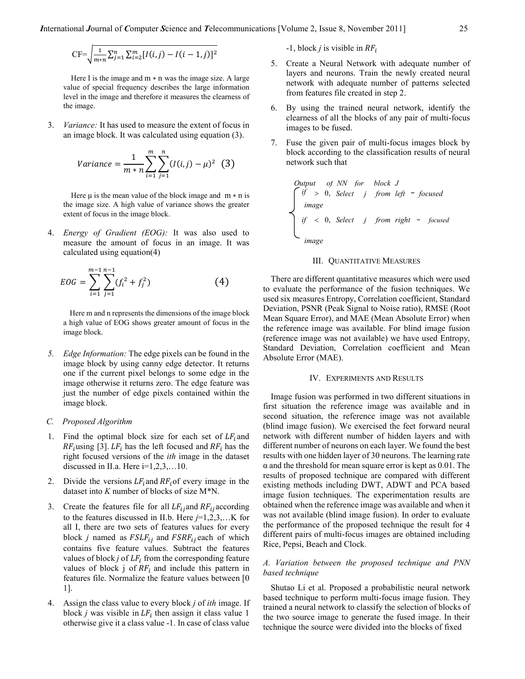$$
\mathrm{CF}=\sqrt{\frac{1}{m*n}\sum_{j=1}^{n}\sum_{i=2}^{m}[I(i,j)-I(i-1,j)]^{2}}
$$

Here I is the image and  $m * n$  was the image size. A large value of special frequency describes the large information level in the image and therefore it measures the clearness of the image.

3. Variance: It has used to measure the extent of focus in an image block. It was calculated using equation (3).

Variance = 
$$
\frac{1}{m*n} \sum_{i=1}^{m} \sum_{j=1}^{n} (I(i,j) - \mu)^2
$$
 (3)

Here  $\mu$  is the mean value of the block image and  $m \times n$  is the image size. A high value of variance shows the greater extent of focus in the image block.

4. *Energy of Gradient (EOG)*: It was also used to measure the amount of focus in an image. It was calculated using equation(4)

$$
EOG = \sum_{i=1}^{m-1} \sum_{j=1}^{n-1} (f_i^2 + f_j^2)
$$
 (4)

 Here m and n represents the dimensions of the image block a high value of EOG shows greater amount of focus in the image block.

5. Edge Information: The edge pixels can be found in the image block by using canny edge detector. It returns one if the current pixel belongs to some edge in the image otherwise it returns zero. The edge feature was just the number of edge pixels contained within the image block.

#### C. Proposed Algorithm

- 1. Find the optimal block size for each set of  $LF_i$  and  $RF_i$ using [3].  $LF_i$  has the left focused and  $RF_i$  has the right focused versions of the ith image in the dataset discussed in II.a. Here  $i=1,2,3,...10$ .
- 2. Divide the versions  $LF_i$  and  $RF_i$  of every image in the dataset into K number of blocks of size M\*N.
- 3. Create the features file for all  $LF_{ij}$  and  $RF_{ij}$  according to the features discussed in II.b. Here  $j=1,2,3,...$  K for all I, there are two sets of features values for every block *j* named as  $FSLF_{ij}$  and  $FSRF_{ij}$  each of which contains five feature values. Subtract the features values of block *j* of  $LF_i$  from the corresponding feature values of block j of  $RF_i$  and include this pattern in features file. Normalize the feature values between [0 1].
- 4. Assign the class value to every block  $j$  of *ith* image. If block *j* was visible in  $LF_i$  then assign it class value 1 otherwise give it a class value -1. In case of class value

 $-1$ , block *j* is visible in  $RF_i$ 

- 5. Create a Neural Network with adequate number of layers and neurons. Train the newly created neural network with adequate number of patterns selected from features file created in step 2.
- 6. By using the trained neural network, identify the clearness of all the blocks of any pair of multi-focus images to be fused.
- 7. Fuse the given pair of multi-focus images block by block according to the classification results of neural network such that

Output of NN for block J  
\n
$$
\int_{\text{image}} \text{if} > 0, \text{ Select} \text{ } j \text{ } \text{from left} - \text{ focused}
$$
\n
$$
\text{if} < 0, \text{ Select} \text{ } j \text{ } \text{from right} - \text{ focused}
$$
\n
$$
\text{image}
$$

## III. QUANTITATIVE MEASURES

There are different quantitative measures which were used to evaluate the performance of the fusion techniques. We used six measures Entropy, Correlation coefficient, Standard Deviation, PSNR (Peak Signal to Noise ratio), RMSE (Root Mean Square Error), and MAE (Mean Absolute Error) when the reference image was available. For blind image fusion (reference image was not available) we have used Entropy, Standard Deviation, Correlation coefficient and Mean Absolute Error (MAE).

#### IV. EXPERIMENTS AND RESULTS

Image fusion was performed in two different situations in first situation the reference image was available and in second situation, the reference image was not available (blind image fusion). We exercised the feet forward neural network with different number of hidden layers and with different number of neurons on each layer. We found the best results with one hidden layer of 30 neurons. The learning rate  $\alpha$  and the threshold for mean square error is kept as 0.01. The results of proposed technique are compared with different existing methods including DWT, ADWT and PCA based image fusion techniques. The experimentation results are obtained when the reference image was available and when it was not available (blind image fusion). In order to evaluate the performance of the proposed technique the result for 4 different pairs of multi-focus images are obtained including Rice, Pepsi, Beach and Clock.

#### A. Variation between the proposed technique and PNN based technique

Shutao Li et al. Proposed a probabilistic neural network based technique to perform multi-focus image fusion. They trained a neural network to classify the selection of blocks of the two source image to generate the fused image. In their technique the source were divided into the blocks of fixed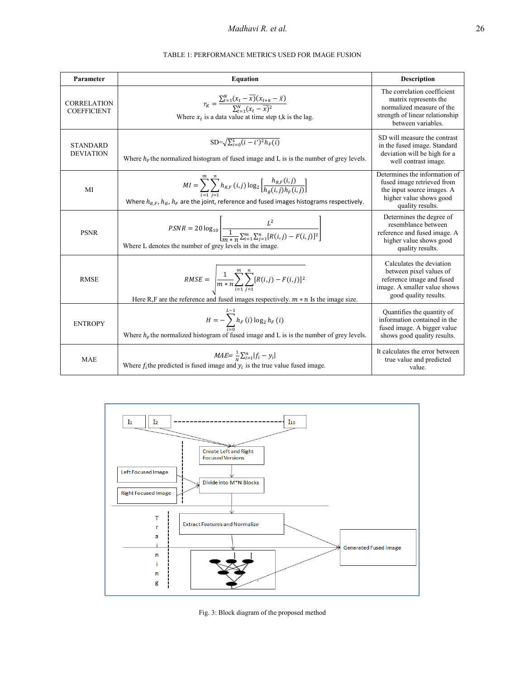# Madhavi R. et al. 26

|                                          | <b>TABLE 1: PERFORMANCE METRICS USED FOR IMAGE FUSION</b>                                                                                                                                                    |                                                                                                                                            |  |  |
|------------------------------------------|--------------------------------------------------------------------------------------------------------------------------------------------------------------------------------------------------------------|--------------------------------------------------------------------------------------------------------------------------------------------|--|--|
| Parameter                                | <b>Equation</b>                                                                                                                                                                                              | <b>Description</b>                                                                                                                         |  |  |
| <b>CORRELATION</b><br><b>COEFFICIENT</b> | $r_K = \frac{\sum_{t=1}^{N} (x_t - x)(x_{t+k} - \bar{x})}{\sum_{t=1}^{N} (x_t - \bar{x})^2}$<br>Where $x_t$ is a data value at time step t, k is the lag.                                                    | The correlation coefficient<br>matrix represents the<br>normalized measure of the<br>strength of linear relationship<br>between variables. |  |  |
| <b>STANDARD</b><br><b>DEVIATION</b>      | $SD = \sqrt{\sum_{i=0}^{L} (i-i')^2 h_F(i)}$<br>Where $hF$ the normalized histogram of fused image and L is is the number of grey levels.                                                                    | SD will measure the contrast<br>in the fused image. Standard<br>deviation will be high for a<br>well contrast image.                       |  |  |
| MI                                       | $MI = \sum_{i=1} \sum_{i=1} h_{R,F}(i,j) \log_2 \left[ \frac{h_{R,F}(i,j)}{h_R(i,j) h_F(i,j)} \right]$<br>Where $h_{R,F}$ , $h_R$ , $h_F$ are the joint, reference and fused images histograms respectively. | Determines the information of<br>fused image retrieved from<br>the input source images. A<br>higher value shows good<br>quality results.   |  |  |
| <b>PSNR</b>                              | $PSNR = 20 \log_{10} \left  \frac{L^2}{\frac{1}{\sqrt{2} \cdot 1} \sum_{i=1}^{m} \sum_{i=1}^{n} [R(i, j) - F(i, j)]^2} \right $<br>Where L denotes the number of grey levels in the image.                   | Determines the degree of<br>resemblance between<br>reference and fused image. A<br>higher value shows good<br>quality results.             |  |  |
| <b>RMSE</b>                              | $RMSE = \left  \frac{1}{m*n} \sum_{i=1}^{m} \sum_{j=1}^{n} [R(i,j) - F(i,j)]^2 \right $<br>Here R,F are the reference and fused images respectively. $m * n$ Is the image size.                              | Calculates the deviation<br>between pixel values of<br>reference image and fused<br>image. A smaller value shows<br>good quality results.  |  |  |
| <b>ENTROPY</b>                           | $H = -\sum_{i=1}^{n} h_F(i) \log_2 h_F(i)$<br>Where $hF$ the normalized histogram of fused image and L is is the number of grey levels.                                                                      | Quantifies the quantity of<br>information contained in the<br>fused image. A bigger value<br>shows good quality results.                   |  |  |

MAE  $MAE = \frac{1}{N}$ 

 $MAE = \frac{1}{N} \sum_{i=1}^{n} |f_i - y_i|$ <br>Where  $f_i$ the predicted is fused image and  $y_i$  is the true value fused image.



Fig. 3: Block diagram of the proposed method

It calculates the error between true value and predicted value.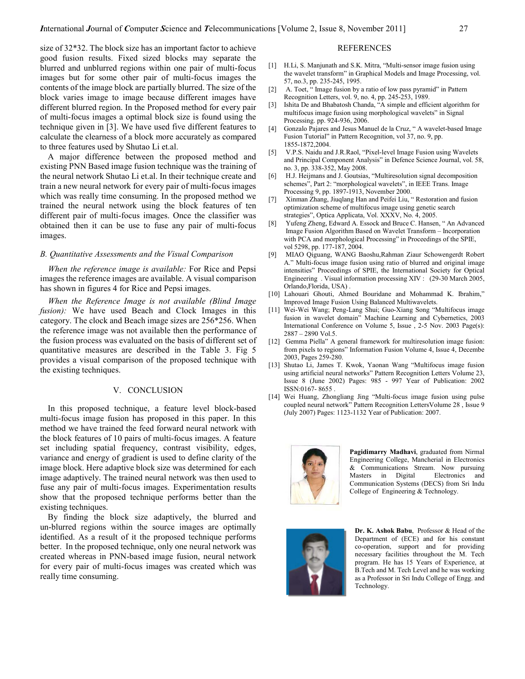size of 32\*32. The block size has an important factor to achieve good fusion results. Fixed sized blocks may separate the blurred and unblurred regions within one pair of multi-focus images but for some other pair of multi-focus images the contents of the image block are partially blurred. The size of the block varies image to image because different images have different blurred region. In the Proposed method for every pair of multi-focus images a optimal block size is found using the technique given in [3]. We have used five different features to calculate the clearness of a block more accurately as compared to three features used by Shutao Li et.al.

A major difference between the proposed method and existing PNN Based image fusion technique was the training of the neural network Shutao Li et.al. In their technique create and train a new neural network for every pair of multi-focus images which was really time consuming. In the proposed method we trained the neural network using the block features of ten different pair of multi-focus images. Once the classifier was obtained then it can be use to fuse any pair of multi-focus images.

#### B. Quantitative Assessments and the Visual Comparison

When the reference image is available: For Rice and Pepsi images the reference images are available. A visual comparison has shown in figures 4 for Rice and Pepsi images.

When the Reference Image is not available (Blind Image fusion): We have used Beach and Clock Images in this category. The clock and Beach image sizes are 256\*256. When the reference image was not available then the performance of the fusion process was evaluated on the basis of different set of quantitative measures are described in the Table 3. Fig 5 provides a visual comparison of the proposed technique with the existing techniques.

#### V. CONCLUSION

In this proposed technique, a feature level block-based multi-focus image fusion has proposed in this paper. In this method we have trained the feed forward neural network with the block features of 10 pairs of multi-focus images. A feature set including spatial frequency, contrast visibility, edges, variance and energy of gradient is used to define clarity of the image block. Here adaptive block size was determined for each image adaptively. The trained neural network was then used to fuse any pair of multi-focus images. Experimentation results show that the proposed technique performs better than the existing techniques.

By finding the block size adaptively, the blurred and un-blurred regions within the source images are optimally identified. As a result of it the proposed technique performs better. In the proposed technique, only one neural network was created whereas in PNN-based image fusion, neural network for every pair of multi-focus images was created which was really time consuming.

#### REFERENCES

- [1] H.Li, S. Manjunath and S.K. Mitra, "Multi-sensor image fusion using the wavelet transform" in Graphical Models and Image Processing, vol. 57, no.3, pp. 235-245, 1995.
- [2] A. Toet, " Image fusion by a ratio of low pass pyramid" in Pattern Recognition Letters, vol. 9, no. 4, pp. 245-253, 1989.
- [3] Ishita De and Bhabatosh Chanda, "A simple and efficient algorithm for multifocus image fusion using morphological wavelets" in Signal Processing. pp. 924-936, 2006.
- [4] Gonzalo Pajares and Jesus Manuel de la Cruz, " A wavelet-based Image Fusion Tutorial" in Pattern Recognition, vol 37, no. 9, pp. 1855-1872,2004.
- [5] V.P.S. Naidu and J.R.Raol, "Pixel-level Image Fusion using Wavelets and Principal Component Analysis" in Defence Science Journal, vol. 58, no. 3, pp. 338-352, May 2008.
- [6] H.J. Heijmans and J. Goutsias, "Multiresolution signal decomposition schemes", Part 2: "morphological wavelets", in IEEE Trans. Image Processing 9, pp. 1897-1913, November 2000.
- [7] Xinman Zhang, Jiuqlang Han and Peifei Liu, " Restoration and fusion optimization scheme of multifocus image using genetic search strategies", Optica Applicata, Vol. XXXV, No. 4, 2005.
- [8] Yufeng Zheng, Edward A. Essock and Bruce C. Hansen, " An Advanced Image Fusion Algorithm Based on Wavelet Transform – Incorporation with PCA and morphological Processing" in Proceedings of the SPIE, vol 5298, pp. 177-187, 2004.
- [9] MIAO Qiguang, WANG Baoshu,Rahman Ziaur Schowengerdt Robert A." Multi-focus image fusion using ratio of blurred and original image intensities" Proceedings of SPIE, the International Society for Optical Engineering . Visual information processing XIV : (29-30 March 2005, Orlando,Florida, USA) .
- [10] Lahouari Ghouti, Ahmed Bouridane and Mohammad K. Ibrahim," Improved Image Fusion Using Balanced Multiwavelets.
- [11] Wei-Wei Wang; Peng-Lang Shui; Guo-Xiang Song "Multifocus image fusion in wavelet domain" Machine Learning and Cybernetics, 2003 International Conference on Volume 5, Issue , 2-5 Nov. 2003 Page(s): 2887 – 2890 Vol.5.
- [12] Gemma Piella" A general framework for multiresolution image fusion: from pixels to regions" Information Fusion Volume 4, Issue 4, Decembe 2003, Pages 259-280.
- [13] Shutao Li, James T. Kwok, Yaonan Wang "Multifocus image fusion using artificial neural networks" Pattern Recognition Letters Volume 23, Issue 8 (June 2002) Pages: 985 - 997 Year of Publication: 2002 ISSN:0167- 8655 .
- [14] Wei Huang, Zhongliang Jing "Multi-focus image fusion using pulse coupled neural network" Pattern Recognition LettersVolume 28 , Issue 9 (July 2007) Pages: 1123-1132 Year of Publication: 2007.



Pagidimarry Madhavi, graduated from Nirmal Engineering College, Mancherial in Electronics & Communications Stream. Now pursuing Electronics and Communication Systems (DECS) from Sri Indu College of Engineering & Technology.



Dr. K. Ashok Babu, Professor & Head of the Department of (ECE) and for his constant co-operation, support and for providing necessary facilities throughout the M. Tech program. He has 15 Years of Experience, at B.Tech and M. Tech Level and he was working as a Professor in Sri Indu College of Engg. and Technology.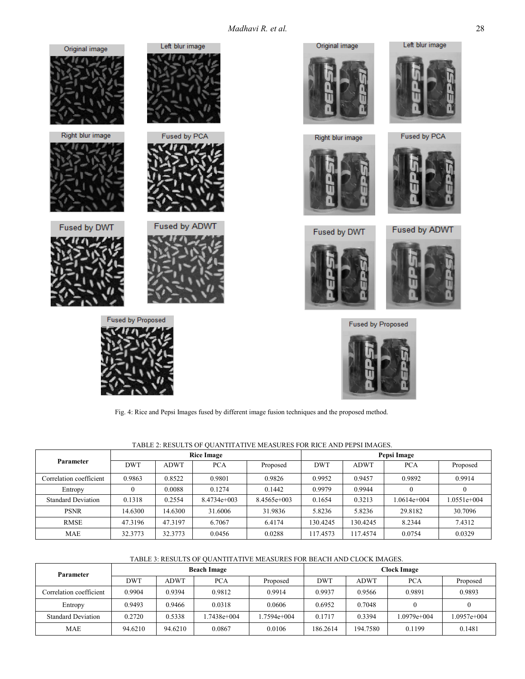Madhavi R. et al. 28





Right blur image



Fused by DWT





Left blur image

Fused by PCA

**Fused by Proposed** 



Fig. 4: Rice and Pepsi Images fused by different image fusion techniques and the proposed method.

|--|

| Parameter                 | <b>Rice Image</b> |             |               | Pepsi Image   |            |             |             |             |
|---------------------------|-------------------|-------------|---------------|---------------|------------|-------------|-------------|-------------|
|                           | <b>DWT</b>        | <b>ADWT</b> | <b>PCA</b>    | Proposed      | <b>DWT</b> | <b>ADWT</b> | <b>PCA</b>  | Proposed    |
| Correlation coefficient   | 0.9863            | 0.8522      | 0.9801        | 0.9826        | 0.9952     | 0.9457      | 0.9892      | 0.9914      |
| Entropy                   |                   | 0.0088      | 0.1274        | 0.1442        | 0.9979     | 0.9944      |             |             |
| <b>Standard Deviation</b> | 0.1318            | 0.2554      | $8.4734e+003$ | $8.4565e+003$ | 0.1654     | 0.3213      | 1.0614e+004 | 1.0551e+004 |
| <b>PSNR</b>               | 14.6300           | 14.6300     | 31.6006       | 31.9836       | 5.8236     | 5.8236      | 29.8182     | 30.7096     |
| <b>RMSE</b>               | 47.3196           | 47.3197     | 6.7067        | 6.4174        | 130.4245   | 130.4245    | 8.2344      | 7.4312      |
| MAE                       | 32.3773           | 32.3773     | 0.0456        | 0.0288        | 117.4573   | 117.4574    | 0.0754      | 0.0329      |

## TABLE 3: RESULTS OF QUANTITATIVE MEASURES FOR BEACH AND CLOCK IMAGES.

| Parameter                 | <b>Beach Image</b> |             |              | Clock Image  |          |             |            |             |
|---------------------------|--------------------|-------------|--------------|--------------|----------|-------------|------------|-------------|
|                           | <b>DWT</b>         | <b>ADWT</b> | <b>PCA</b>   | Proposed     | DWT      | <b>ADWT</b> | <b>PCA</b> | Proposed    |
| Correlation coefficient   | 0.9904             | 0.9394      | 0.9812       | 0.9914       | 0.9937   | 0.9566      | 0.9891     | 0.9893      |
| Entropy                   | 0.9493             | 0.9466      | 0.0318       | 0.0606       | 0.6952   | 0.7048      |            |             |
| <b>Standard Deviation</b> | 0.2720             | 0.5338      | $.7438e+004$ | $.7594e+004$ | 0.1717   | 0.3394      | 0979e+004  | 1.0957e+004 |
| <b>MAE</b>                | 94.6210            | 94.6210     | 0.0867       | 0.0106       | 186.2614 | 194.7580    | 0.1199     | 0.1481      |